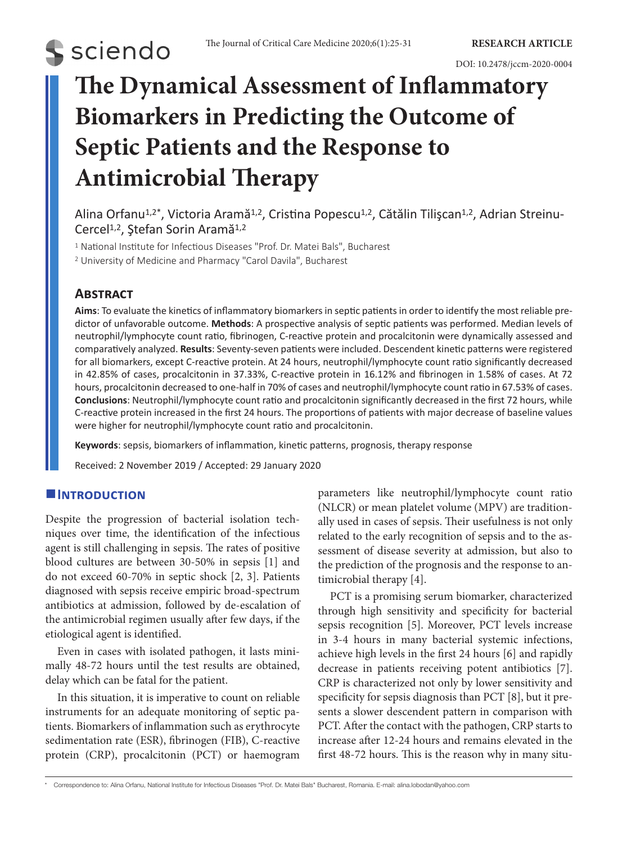

# **The Dynamical Assessment of Inflammatory Biomarkers in Predicting the Outcome of Septic Patients and the Response to Antimicrobial Therapy**

Alina Orfanu<sup>1,2\*</sup>, Victoria Aramă<sup>1,2</sup>, Cristina Popescu<sup>1,2</sup>, Cătălin Tilișcan<sup>1,2</sup>, Adrian Streinu-Cercel<sup>1,2</sup>, Ştefan Sorin Aramă<sup>1,2</sup>

<sup>1</sup> National Institute for Infectious Diseases "Prof. Dr. Matei Bals", Bucharest

<sup>2</sup> University of Medicine and Pharmacy "Carol Davila", Bucharest

# **Abstract**

**Aims**: To evaluate the kinetics of inflammatory biomarkers in septic patients in order to identify the most reliable predictor of unfavorable outcome. **Methods**: A prospective analysis of septic patients was performed. Median levels of neutrophil/lymphocyte count ratio, fibrinogen, C-reactive protein and procalcitonin were dynamically assessed and comparatively analyzed. **Results**: Seventy-seven patients were included. Descendent kinetic patterns were registered for all biomarkers, except C-reactive protein. At 24 hours, neutrophil/lymphocyte count ratio significantly decreased in 42.85% of cases, procalcitonin in 37.33%, C-reactive protein in 16.12% and fibrinogen in 1.58% of cases. At 72 hours, procalcitonin decreased to one-half in 70% of cases and neutrophil/lymphocyte count ratio in 67.53% of cases. **Conclusions**: Neutrophil/lymphocyte count ratio and procalcitonin significantly decreased in the first 72 hours, while C-reactive protein increased in the first 24 hours. The proportions of patients with major decrease of baseline values were higher for neutrophil/lymphocyte count ratio and procalcitonin.

**Keywords**: sepsis, biomarkers of inflammation, kinetic patterns, prognosis, therapy response

Received: 2 November 2019 / Accepted: 29 January 2020

# **Introduction**

Despite the progression of bacterial isolation techniques over time, the identification of the infectious agent is still challenging in sepsis. The rates of positive blood cultures are between 30-50% in sepsis [1] and do not exceed 60-70% in septic shock [2, 3]. Patients diagnosed with sepsis receive empiric broad-spectrum antibiotics at admission, followed by de-escalation of the antimicrobial regimen usually after few days, if the etiological agent is identified.

Even in cases with isolated pathogen, it lasts minimally 48-72 hours until the test results are obtained, delay which can be fatal for the patient.

In this situation, it is imperative to count on reliable instruments for an adequate monitoring of septic patients. Biomarkers of inflammation such as erythrocyte sedimentation rate (ESR), fibrinogen (FIB), C-reactive protein (CRP), procalcitonin (PCT) or haemogram parameters like neutrophil/lymphocyte count ratio (NLCR) or mean platelet volume (MPV) are traditionally used in cases of sepsis. Their usefulness is not only related to the early recognition of sepsis and to the assessment of disease severity at admission, but also to the prediction of the prognosis and the response to antimicrobial therapy [4].

PCT is a promising serum biomarker, characterized through high sensitivity and specificity for bacterial sepsis recognition [5]. Moreover, PCT levels increase in 3-4 hours in many bacterial systemic infections, achieve high levels in the first 24 hours [6] and rapidly decrease in patients receiving potent antibiotics [7]. CRP is characterized not only by lower sensitivity and specificity for sepsis diagnosis than PCT [8], but it presents a slower descendent pattern in comparison with PCT. After the contact with the pathogen, CRP starts to increase after 12-24 hours and remains elevated in the first 48-72 hours. This is the reason why in many situ-

\* Correspondence to: Alina Orfanu, National Institute for Infectious Diseases "Prof. Dr. Matei Bals" Bucharest, Romania. E-mail: alina.lobodan@yahoo.com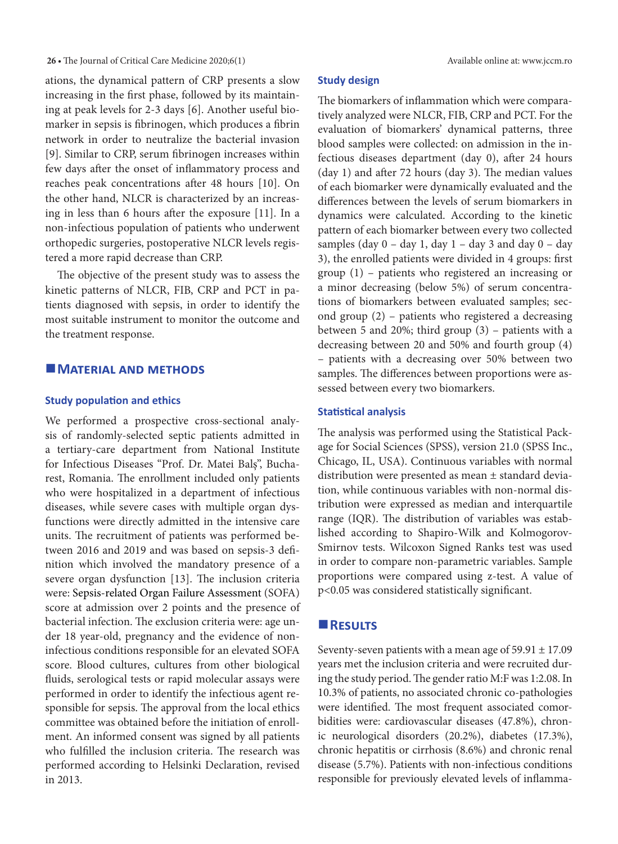#### 26 • The Journal of Critical Care Medicine 2020;6(1) Available online at: www.jccm.ro

ations, the dynamical pattern of CRP presents a slow increasing in the first phase, followed by its maintaining at peak levels for 2-3 days [6]. Another useful biomarker in sepsis is fibrinogen, which produces a fibrin network in order to neutralize the bacterial invasion [9]. Similar to CRP, serum fibrinogen increases within few days after the onset of inflammatory process and reaches peak concentrations after 48 hours [10]. On the other hand, NLCR is characterized by an increasing in less than 6 hours after the exposure [11]. In a non-infectious population of patients who underwent orthopedic surgeries, postoperative NLCR levels registered a more rapid decrease than CRP.

The objective of the present study was to assess the kinetic patterns of NLCR, FIB, CRP and PCT in patients diagnosed with sepsis, in order to identify the most suitable instrument to monitor the outcome and the treatment response.

#### **MATERIAL AND METHODS**

#### **Study population and ethics**

We performed a prospective cross-sectional analysis of randomly-selected septic patients admitted in a tertiary-care department from National Institute for Infectious Diseases "Prof. Dr. Matei Balş", Bucharest, Romania. The enrollment included only patients who were hospitalized in a department of infectious diseases, while severe cases with multiple organ dysfunctions were directly admitted in the intensive care units. The recruitment of patients was performed between 2016 and 2019 and was based on sepsis-3 definition which involved the mandatory presence of a severe organ dysfunction [13]. The inclusion criteria were: Sepsis-related Organ Failure Assessment (SOFA) score at admission over 2 points and the presence of bacterial infection. The exclusion criteria were: age under 18 year-old, pregnancy and the evidence of noninfectious conditions responsible for an elevated SOFA score. Blood cultures, cultures from other biological fluids, serological tests or rapid molecular assays were performed in order to identify the infectious agent responsible for sepsis. The approval from the local ethics committee was obtained before the initiation of enrollment. An informed consent was signed by all patients who fulfilled the inclusion criteria. The research was performed according to Helsinki Declaration, revised in 2013.

#### **Study design**

The biomarkers of inflammation which were comparatively analyzed were NLCR, FIB, CRP and PCT. For the evaluation of biomarkers' dynamical patterns, three blood samples were collected: on admission in the infectious diseases department (day 0), after 24 hours (day 1) and after 72 hours (day 3). The median values of each biomarker were dynamically evaluated and the differences between the levels of serum biomarkers in dynamics were calculated. According to the kinetic pattern of each biomarker between every two collected samples (day  $0 - day 1$ , day  $1 - day 3$  and day  $0 - day$ 3), the enrolled patients were divided in 4 groups: first group (1) – patients who registered an increasing or a minor decreasing (below 5%) of serum concentrations of biomarkers between evaluated samples; second group (2) – patients who registered a decreasing between 5 and 20%; third group (3) – patients with a decreasing between 20 and 50% and fourth group (4) – patients with a decreasing over 50% between two samples. The differences between proportions were assessed between every two biomarkers.

#### **Statistical analysis**

The analysis was performed using the Statistical Package for Social Sciences (SPSS), version 21.0 (SPSS Inc., Chicago, IL, USA). Continuous variables with normal distribution were presented as mean ± standard deviation, while continuous variables with non-normal distribution were expressed as median and interquartile range (IQR). The distribution of variables was established according to Shapiro-Wilk and Kolmogorov-Smirnov tests. Wilcoxon Signed Ranks test was used in order to compare non-parametric variables. Sample proportions were compared using z-test. A value of p<0.05 was considered statistically significant.

### **Results**

Seventy-seven patients with a mean age of  $59.91 \pm 17.09$ years met the inclusion criteria and were recruited during the study period. The gender ratio M:F was 1:2.08. In 10.3% of patients, no associated chronic co-pathologies were identified. The most frequent associated comorbidities were: cardiovascular diseases (47.8%), chronic neurological disorders (20.2%), diabetes (17.3%), chronic hepatitis or cirrhosis (8.6%) and chronic renal disease (5.7%). Patients with non-infectious conditions responsible for previously elevated levels of inflamma-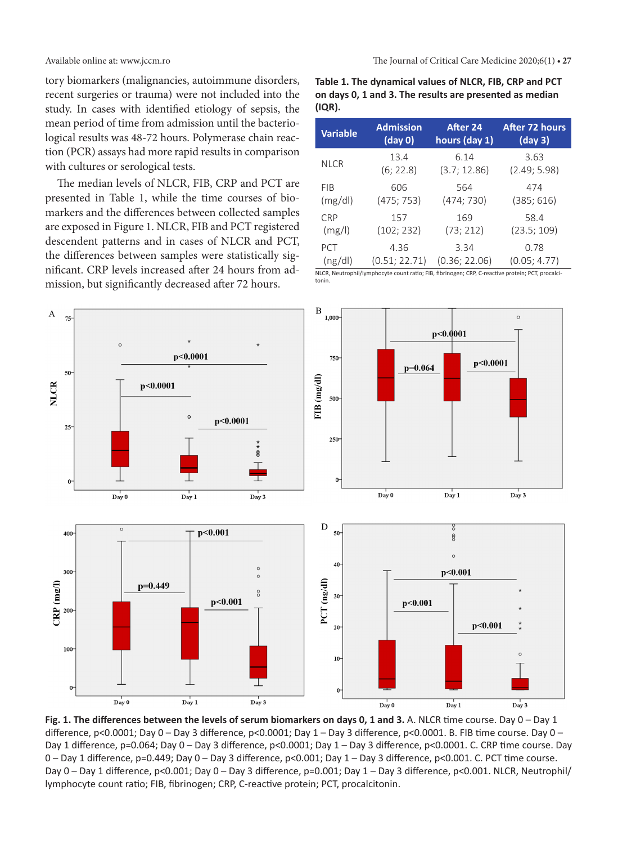tory biomarkers (malignancies, autoimmune disorders, recent surgeries or trauma) were not included into the study. In cases with identified etiology of sepsis, the mean period of time from admission until the bacteriological results was 48-72 hours. Polymerase chain reaction (PCR) assays had more rapid results in comparison with cultures or serological tests.

The median levels of NLCR, FIB, CRP and PCT are presented in Table 1, while the time courses of biomarkers and the differences between collected samples are exposed in Figure 1. NLCR, FIB and PCT registered descendent patterns and in cases of NLCR and PCT, the differences between samples were statistically significant. CRP levels increased after 24 hours from admission, but significantly decreased after 72 hours.

**Table 1. The dynamical values of NLCR, FIB, CRP and PCT on days 0, 1 and 3. The results are presented as median (IQR).**

| <b>Variable</b> | <b>Admission</b>      | After 24                                                                                                               | After 72 hours       |
|-----------------|-----------------------|------------------------------------------------------------------------------------------------------------------------|----------------------|
|                 | (day 0)               | hours (day 1)                                                                                                          | (day 3)              |
| <b>NLCR</b>     | 13.4                  | 6.14                                                                                                                   | 3.63                 |
|                 | (6; 22.8)             | (3.7; 12.86)                                                                                                           | (2.49; 5.98)         |
| <b>FIB</b>      | 606                   | 564                                                                                                                    | 474                  |
| (mg/dl)         | (475; 753)            | (474; 730)                                                                                                             | (385; 616)           |
| <b>CRP</b>      | 157                   | 169                                                                                                                    | 58.4                 |
| (mg/l)          | (102; 232)            | (73; 212)                                                                                                              | (23.5; 109)          |
| PCT<br>(ng/dl)  | 4.36<br>(0.51; 22.71) | 3.34<br>(0.36; 22.06)<br>NILCR Noutraphil/lumphosits sount ratio: EIR fibrinogan: CRR C reastive protein: RCT prosolei | 0.78<br>(0.05; 4.77) |

NLCR, Neutrophil/lymphocyte count ratio; FIB, fibrinogen; CRP, C-reactive protein; PCT, procalcitonin.



**Fig. 1. The differences between the levels of serum biomarkers on days 0, 1 and 3.** A. NLCR time course. Day 0 – Day 1 difference, p<0.0001; Day 0 – Day 3 difference, p<0.0001; Day 1 – Day 3 difference, p<0.0001. B. FIB time course. Day 0 – Day 1 difference, p=0.064; Day 0 – Day 3 difference, p<0.0001; Day 1 – Day 3 difference, p<0.0001. C. CRP time course. Day 0 – Day 1 difference, p=0.449; Day 0 – Day 3 difference, p<0.001; Day 1 – Day 3 difference, p<0.001. C. PCT time course. Day 0 – Day 1 difference, p<0.001; Day 0 – Day 3 difference, p=0.001; Day 1 – Day 3 difference, p<0.001. NLCR, Neutrophil/ lymphocyte count ratio; FIB, fibrinogen; CRP, C-reactive protein; PCT, procalcitonin.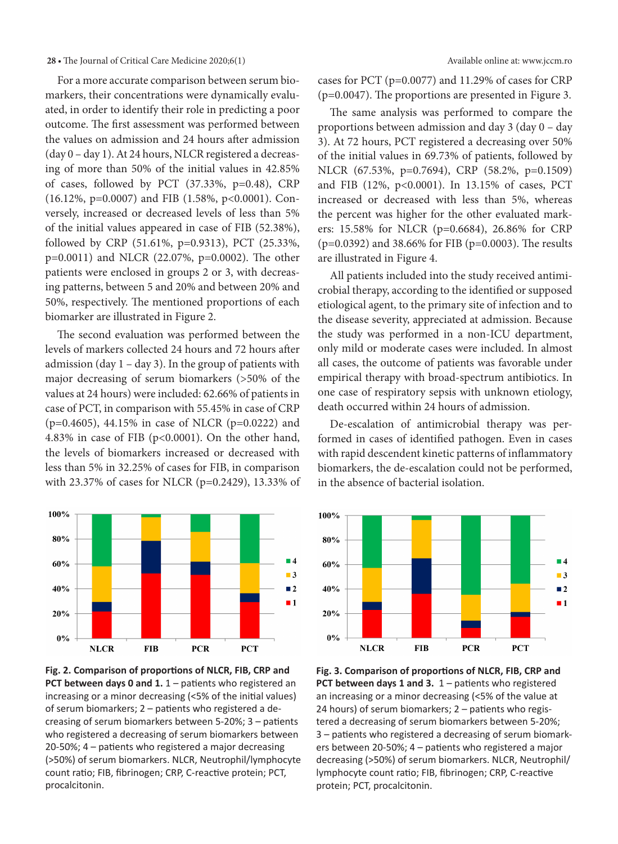#### **28 •** The Journal of Critical Care Medicine 2020;6(1) Available online at: www.jccm.ro

For a more accurate comparison between serum biomarkers, their concentrations were dynamically evaluated, in order to identify their role in predicting a poor outcome. The first assessment was performed between the values on admission and 24 hours after admission (day 0 – day 1). At 24 hours, NLCR registered a decreasing of more than 50% of the initial values in 42.85% of cases, followed by PCT (37.33%, p=0.48), CRP (16.12%, p=0.0007) and FIB (1.58%, p<0.0001). Conversely, increased or decreased levels of less than 5% of the initial values appeared in case of FIB (52.38%), followed by CRP (51.61%, p=0.9313), PCT (25.33%, p=0.0011) and NLCR (22.07%, p=0.0002). The other patients were enclosed in groups 2 or 3, with decreasing patterns, between 5 and 20% and between 20% and 50%, respectively. The mentioned proportions of each biomarker are illustrated in Figure 2.

The second evaluation was performed between the levels of markers collected 24 hours and 72 hours after admission (day  $1 - day 3$ ). In the group of patients with major decreasing of serum biomarkers (>50% of the values at 24 hours) were included: 62.66% of patients in case of PCT, in comparison with 55.45% in case of CRP (p=0.4605), 44.15% in case of NLCR (p=0.0222) and 4.83% in case of FIB (p<0.0001). On the other hand, the levels of biomarkers increased or decreased with less than 5% in 32.25% of cases for FIB, in comparison with 23.37% of cases for NLCR (p=0.2429), 13.33% of





cases for PCT (p=0.0077) and 11.29% of cases for CRP (p=0.0047). The proportions are presented in Figure 3.

The same analysis was performed to compare the proportions between admission and day 3 (day 0 – day 3). At 72 hours, PCT registered a decreasing over 50% of the initial values in 69.73% of patients, followed by NLCR (67.53%, p=0.7694), CRP (58.2%, p=0.1509) and FIB (12%, p<0.0001). In 13.15% of cases, PCT increased or decreased with less than 5%, whereas the percent was higher for the other evaluated markers: 15.58% for NLCR (p=0.6684), 26.86% for CRP (p=0.0392) and 38.66% for FIB (p=0.0003). The results are illustrated in Figure 4.

All patients included into the study received antimicrobial therapy, according to the identified or supposed etiological agent, to the primary site of infection and to the disease severity, appreciated at admission. Because the study was performed in a non-ICU department, only mild or moderate cases were included. In almost all cases, the outcome of patients was favorable under empirical therapy with broad-spectrum antibiotics. In one case of respiratory sepsis with unknown etiology, death occurred within 24 hours of admission.

De-escalation of antimicrobial therapy was performed in cases of identified pathogen. Even in cases with rapid descendent kinetic patterns of inflammatory biomarkers, the de-escalation could not be performed, in the absence of bacterial isolation.



**Fig. 3. Comparison of proportions of NLCR, FIB, CRP and PCT between days 1 and 3.** 1 – patients who registered an increasing or a minor decreasing (<5% of the value at 24 hours) of serum biomarkers; 2 – patients who registered a decreasing of serum biomarkers between 5-20%; 3 – patients who registered a decreasing of serum biomarkers between 20-50%; 4 – patients who registered a major decreasing (>50%) of serum biomarkers. NLCR, Neutrophil/ lymphocyte count ratio; FIB, fibrinogen; CRP, C-reactive protein; PCT, procalcitonin.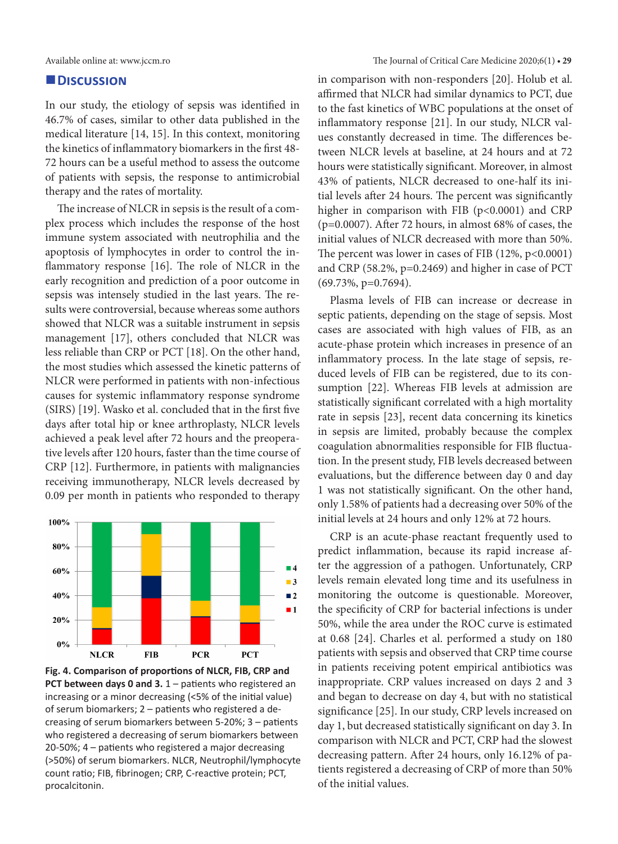#### **Discussion**

In our study, the etiology of sepsis was identified in 46.7% of cases, similar to other data published in the medical literature [14, 15]. In this context, monitoring the kinetics of inflammatory biomarkers in the first 48- 72 hours can be a useful method to assess the outcome of patients with sepsis, the response to antimicrobial therapy and the rates of mortality.

The increase of NLCR in sepsis is the result of a complex process which includes the response of the host immune system associated with neutrophilia and the apoptosis of lymphocytes in order to control the inflammatory response [16]. The role of NLCR in the early recognition and prediction of a poor outcome in sepsis was intensely studied in the last years. The results were controversial, because whereas some authors showed that NLCR was a suitable instrument in sepsis management [17], others concluded that NLCR was less reliable than CRP or PCT [18]. On the other hand, the most studies which assessed the kinetic patterns of NLCR were performed in patients with non-infectious causes for systemic inflammatory response syndrome (SIRS) [19]. Wasko et al. concluded that in the first five days after total hip or knee arthroplasty, NLCR levels achieved a peak level after 72 hours and the preoperative levels after 120 hours, faster than the time course of CRP [12]. Furthermore, in patients with malignancies receiving immunotherapy, NLCR levels decreased by 0.09 per month in patients who responded to therapy



**Fig. 4. Comparison of proportions of NLCR, FIB, CRP and PCT between days 0 and 3.** 1 – patients who registered an increasing or a minor decreasing (<5% of the initial value) of serum biomarkers; 2 – patients who registered a decreasing of serum biomarkers between 5-20%; 3 – patients who registered a decreasing of serum biomarkers between 20-50%; 4 – patients who registered a major decreasing (>50%) of serum biomarkers. NLCR, Neutrophil/lymphocyte count ratio; FIB, fibrinogen; CRP, C-reactive protein; PCT, procalcitonin.

in comparison with non-responders [20]. Holub et al. affirmed that NLCR had similar dynamics to PCT, due to the fast kinetics of WBC populations at the onset of inflammatory response [21]. In our study, NLCR values constantly decreased in time. The differences between NLCR levels at baseline, at 24 hours and at 72 hours were statistically significant. Moreover, in almost 43% of patients, NLCR decreased to one-half its initial levels after 24 hours. The percent was significantly higher in comparison with FIB (p<0.0001) and CRP (p=0.0007). After 72 hours, in almost 68% of cases, the initial values of NLCR decreased with more than 50%. The percent was lower in cases of FIB  $(12\%, p<0.0001)$ and CRP (58.2%, p=0.2469) and higher in case of PCT (69.73%, p=0.7694).

Plasma levels of FIB can increase or decrease in septic patients, depending on the stage of sepsis. Most cases are associated with high values of FIB, as an acute-phase protein which increases in presence of an inflammatory process. In the late stage of sepsis, reduced levels of FIB can be registered, due to its consumption [22]. Whereas FIB levels at admission are statistically significant correlated with a high mortality rate in sepsis [23], recent data concerning its kinetics in sepsis are limited, probably because the complex coagulation abnormalities responsible for FIB fluctuation. In the present study, FIB levels decreased between evaluations, but the difference between day 0 and day 1 was not statistically significant. On the other hand, only 1.58% of patients had a decreasing over 50% of the initial levels at 24 hours and only 12% at 72 hours.

CRP is an acute-phase reactant frequently used to predict inflammation, because its rapid increase after the aggression of a pathogen. Unfortunately, CRP levels remain elevated long time and its usefulness in monitoring the outcome is questionable. Moreover, the specificity of CRP for bacterial infections is under 50%, while the area under the ROC curve is estimated at 0.68 [24]. Charles et al. performed a study on 180 patients with sepsis and observed that CRP time course in patients receiving potent empirical antibiotics was inappropriate. CRP values increased on days 2 and 3 and began to decrease on day 4, but with no statistical significance [25]. In our study, CRP levels increased on day 1, but decreased statistically significant on day 3. In comparison with NLCR and PCT, CRP had the slowest decreasing pattern. After 24 hours, only 16.12% of patients registered a decreasing of CRP of more than 50% of the initial values.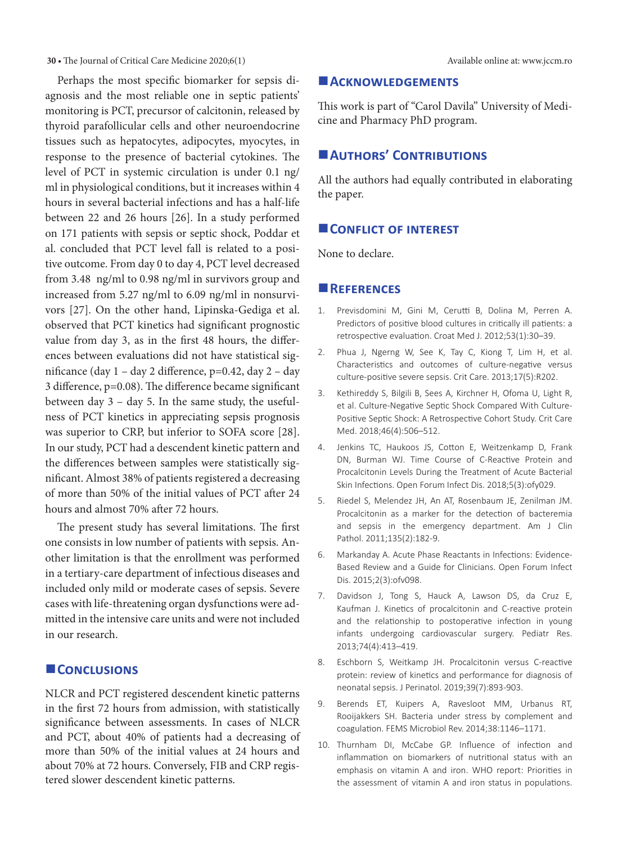#### **30 •** The Journal of Critical Care Medicine 2020;6(1) Available online at: www.jccm.ro

Perhaps the most specific biomarker for sepsis diagnosis and the most reliable one in septic patients' monitoring is PCT, precursor of calcitonin, released by thyroid parafollicular cells and other neuroendocrine tissues such as hepatocytes, adipocytes, myocytes, in response to the presence of bacterial cytokines. The level of PCT in systemic circulation is under 0.1 ng/ ml in physiological conditions, but it increases within 4 hours in several bacterial infections and has a half-life between 22 and 26 hours [26]. In a study performed on 171 patients with sepsis or septic shock, Poddar et al. concluded that PCT level fall is related to a positive outcome. From day 0 to day 4, PCT level decreased from 3.48 ng/ml to 0.98 ng/ml in survivors group and increased from 5.27 ng/ml to 6.09 ng/ml in nonsurvivors [27]. On the other hand, Lipinska-Gediga et al. observed that PCT kinetics had significant prognostic value from day 3, as in the first 48 hours, the differences between evaluations did not have statistical significance (day 1 – day 2 difference, p=0.42, day 2 – day 3 difference, p=0.08). The difference became significant between day 3 – day 5. In the same study, the usefulness of PCT kinetics in appreciating sepsis prognosis was superior to CRP, but inferior to SOFA score [28]. In our study, PCT had a descendent kinetic pattern and the differences between samples were statistically significant. Almost 38% of patients registered a decreasing of more than 50% of the initial values of PCT after 24 hours and almost 70% after 72 hours.

The present study has several limitations. The first one consists in low number of patients with sepsis. Another limitation is that the enrollment was performed in a tertiary-care department of infectious diseases and included only mild or moderate cases of sepsis. Severe cases with life-threatening organ dysfunctions were admitted in the intensive care units and were not included in our research.

## **Conclusions**

NLCR and PCT registered descendent kinetic patterns in the first 72 hours from admission, with statistically significance between assessments. In cases of NLCR and PCT, about 40% of patients had a decreasing of more than 50% of the initial values at 24 hours and about 70% at 72 hours. Conversely, FIB and CRP registered slower descendent kinetic patterns.

#### **Acknowledgements**

This work is part of "Carol Davila" University of Medicine and Pharmacy PhD program.

# **Authors' Contributions**

All the authors had equally contributed in elaborating the paper.

#### **CONFLICT OF INTEREST**

None to declare.

#### **References**

- 1. Previsdomini M, Gini M, Cerutti B, Dolina M, Perren A. Predictors of positive blood cultures in critically ill patients: a retrospective evaluation. Croat Med J. 2012;53(1):30–39.
- 2. Phua J, Ngerng W, See K, Tay C, Kiong T, Lim H, et al. Characteristics and outcomes of culture-negative versus culture-positive severe sepsis. Crit Care. 2013;17(5):R202.
- 3. Kethireddy S, Bilgili B, Sees A, Kirchner H, Ofoma U, Light R, et al. Culture-Negative Septic Shock Compared With Culture-Positive Septic Shock: A Retrospective Cohort Study. Crit Care Med. 2018;46(4):506–512.
- 4. Jenkins TC, Haukoos JS, Cotton E, Weitzenkamp D, Frank DN, Burman WJ. Time Course of C-Reactive Protein and Procalcitonin Levels During the Treatment of Acute Bacterial Skin Infections. Open Forum Infect Dis. 2018;5(3):ofy029.
- 5. Riedel S, Melendez JH, An AT, Rosenbaum JE, Zenilman JM. Procalcitonin as a marker for the detection of bacteremia and sepsis in the emergency department. Am J Clin Pathol. 2011;135(2):182-9.
- 6. Markanday A. Acute Phase Reactants in Infections: Evidence-Based Review and a Guide for Clinicians. Open Forum Infect Dis. 2015;2(3):ofv098.
- 7. Davidson J, Tong S, Hauck A, Lawson DS, da Cruz E, Kaufman J. Kinetics of procalcitonin and C-reactive protein and the relationship to postoperative infection in young infants undergoing cardiovascular surgery. Pediatr Res. 2013;74(4):413–419.
- 8. Eschborn S, Weitkamp JH. Procalcitonin versus C-reactive protein: review of kinetics and performance for diagnosis of neonatal sepsis. J Perinatol. 2019;39(7):893-903.
- 9. Berends ET, Kuipers A, Ravesloot MM, Urbanus RT, Rooijakkers SH. Bacteria under stress by complement and coagulation. FEMS Microbiol Rev. 2014;38:1146–1171.
- 10. Thurnham DI, McCabe GP. Influence of infection and inflammation on biomarkers of nutritional status with an emphasis on vitamin A and iron. WHO report: Priorities in the assessment of vitamin A and iron status in populations.